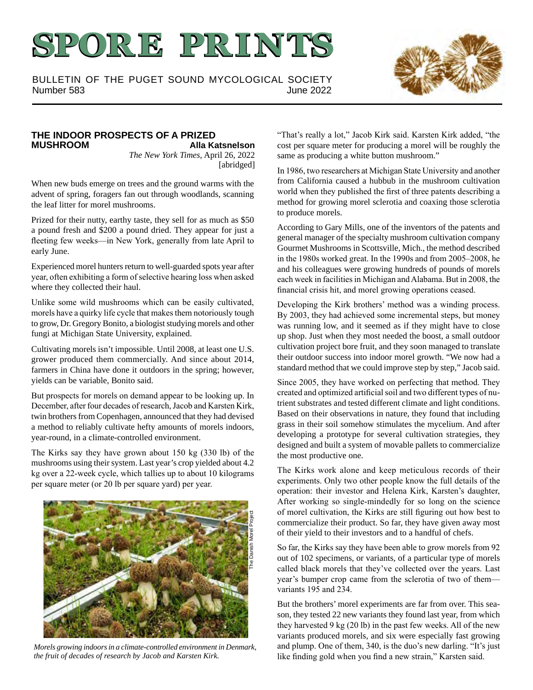# **SPORE PRINTS**

BULLETIN OF THE PUGET SOUND MYCOLOGICAL SOCIETY Number 583 June 2022



#### **THE INDOOR PROSPECTS OF A PRIZED Alla Katsnelson**

*The New York Times*, April 26, 2022 [abridged]

When new buds emerge on trees and the ground warms with the advent of spring, foragers fan out through woodlands, scanning the leaf litter for morel mushrooms.

Prized for their nutty, earthy taste, they sell for as much as \$50 a pound fresh and \$200 a pound dried. They appear for just a fleeting few weeks—in New York, generally from late April to early June.

Experienced morel hunters return to well-guarded spots year after year, often exhibiting a form of selective hearing loss when asked where they collected their haul.

Unlike some wild mushrooms which can be easily cultivated, morels have a quirky life cycle that makes them notoriously tough to grow, Dr. Gregory Bonito, a biologist studying morels and other fungi at Michigan State University, explained.

Cultivating morels isn't impossible. Until 2008, at least one U.S. grower produced them commercially. And since about 2014, farmers in China have done it outdoors in the spring; however, yields can be variable, Bonito said.

But prospects for morels on demand appear to be looking up. In December, after four decades of research, Jacob and Karsten Kirk, twin brothers from Copenhagen, announced that they had devised a method to reliably cultivate hefty amounts of morels indoors, year-round, in a climate-controlled environment.

The Kirks say they have grown about 150 kg (330 lb) of the mushrooms using their system. Last year's crop yielded about 4.2 kg over a 22-week cycle, which tallies up to about 10 kilograms per square meter (or 20 lb per square yard) per year.



*Morels growing indoors in a climate-controlled environment in Denmark, the fruit of decades of research by Jacob and Karsten Kirk.*

"That's really a lot," Jacob Kirk said. Karsten Kirk added, "the cost per square meter for producing a morel will be roughly the same as producing a white button mushroom."

In 1986, two researchers at Michigan State University and another from California caused a hubbub in the mushroom cultivation world when they published the first of three patents describing a method for growing morel sclerotia and coaxing those sclerotia to produce morels.

According to Gary Mills, one of the inventors of the patents and general manager of the specialty mushroom cultivation company Gourmet Mushrooms in Scottsville, Mich., the method described in the 1980s worked great. In the 1990s and from 2005–2008, he and his colleagues were growing hundreds of pounds of morels each week in facilities in Michigan and Alabama. But in 2008, the financial crisis hit, and morel growing operations ceased.

Developing the Kirk brothers' method was a winding process. By 2003, they had achieved some incremental steps, but money was running low, and it seemed as if they might have to close up shop. Just when they most needed the boost, a small outdoor cultivation project bore fruit, and they soon managed to translate their outdoor success into indoor morel growth. "We now had a standard method that we could improve step by step," Jacob said.

Since 2005, they have worked on perfecting that method. They created and optimized artificial soil and two different types of nutrient substrates and tested different climate and light conditions. Based on their observations in nature, they found that including grass in their soil somehow stimulates the mycelium. And after developing a prototype for several cultivation strategies, they designed and built a system of movable pallets to commercialize the most productive one.

The Kirks work alone and keep meticulous records of their experiments. Only two other people know the full details of the operation: their investor and Helena Kirk, Karsten's daughter, After working so single-mindedly for so long on the science of morel cultivation, the Kirks are still figuring out how best to commercialize their product. So far, they have given away most of their yield to their investors and to a handful of chefs.

So far, the Kirks say they have been able to grow morels from 92 out of 102 specimens, or variants, of a particular type of morels called black morels that they've collected over the years. Last year's bumper crop came from the sclerotia of two of them variants 195 and 234.

But the brothers' morel experiments are far from over. This season, they tested 22 new variants they found last year, from which they harvested 9 kg (20 lb) in the past few weeks. All of the new variants produced morels, and six were especially fast growing and plump. One of them, 340, is the duo's new darling. "It's just like finding gold when you find a new strain," Karsten said.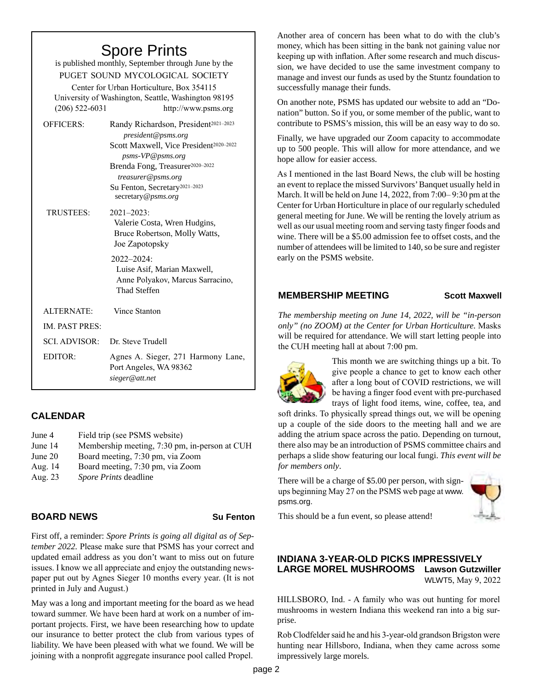## Spore Prints

is published monthly, September through June by the PUGET SOUND MYCOLOGICAL SOCIETY Center for Urban Horticulture, Box 354115 University of Washington, Seattle, Washington 98195 (206) 522-6031 http://www.psms.org OFFICERS: Randy Richardson, President<sup>2021-2023</sup> *president@psms.org* Scott Maxwell, Vice President<sup>2020-2022</sup> *psms-VP@psms.org* Brenda Fong, Treasurer<sup>2020-2022</sup> *treasurer@psms.org* Su Fenton, Secretary2021–2023 secretary*@psms.org* TRUSTEES: 2021–2023: Valerie Costa, Wren Hudgins, Bruce Robertson, Molly Watts, Joe Zapotopsky 2022–2024: Luise Asif, Marian Maxwell, Anne Polyakov, Marcus Sarracino, Thad Steffen ALTERNATE: Vince Stanton IM. PAST PRES: SCI. ADVISOR: Dr. Steve Trudell EDITOR: Agnes A. Sieger, 271 Harmony Lane, Port Angeles, WA 98362 *sieger@att.net*

#### **CALENDAR**

- June 4 Field trip (see PSMS website)
- June 14 Membership meeting, 7:30 pm, in-person at CUH
- June 20 Board meeting, 7:30 pm, via Zoom
- Aug. 14 Board meeting, 7:30 pm, via Zoom
- Aug. 23 *Spore Prints* deadline

#### **BOARD NEWS Su Fenton**

First off, a reminder: *Spore Prints is going all digital as of September 2022.* Please make sure that PSMS has your correct and updated email address as you don't want to miss out on future issues. I know we all appreciate and enjoy the outstanding newspaper put out by Agnes Sieger 10 months every year. (It is not printed in July and August.)

May was a long and important meeting for the board as we head toward summer. We have been hard at work on a number of important projects. First, we have been researching how to update our insurance to better protect the club from various types of liability. We have been pleased with what we found. We will be joining with a nonprofit aggregate insurance pool called Propel.

Another area of concern has been what to do with the club's money, which has been sitting in the bank not gaining value nor keeping up with inflation. After some research and much discussion, we have decided to use the same investment company to manage and invest our funds as used by the Stuntz foundation to successfully manage their funds.

On another note, PSMS has updated our website to add an "Donation" button. So if you, or some member of the public, want to contribute to PSMS's mission, this will be an easy way to do so.

Finally, we have upgraded our Zoom capacity to accommodate up to 500 people. This will allow for more attendance, and we hope allow for easier access.

As I mentioned in the last Board News, the club will be hosting an event to replace the missed Survivors' Banquet usually held in March. It will be held on June 14, 2022, from 7:00– 9:30 pm at the Center for Urban Horticulture in place of our regularly scheduled general meeting for June. We will be renting the lovely atrium as well as our usual meeting room and serving tasty finger foods and wine. There will be a \$5.00 admission fee to offset costs, and the number of attendees will be limited to 140, so be sure and register early on the PSMS website.

#### **MEMBERSHIP MEETING Scott Maxwell**

*The membership meeting on June 14, 2022, will be "in-person only" (no ZOOM) at the Center for Urban Horticulture.* Masks will be required for attendance. We will start letting people into the CUH meeting hall at about 7:00 pm.



This month we are switching things up a bit. To give people a chance to get to know each other after a long bout of COVID restrictions, we will be having a finger food event with pre-purchased trays of light food items, wine, coffee, tea, and

soft drinks. To physically spread things out, we will be opening up a couple of the side doors to the meeting hall and we are adding the atrium space across the patio. Depending on turnout, there also may be an introduction of PSMS committee chairs and perhaps a slide show featuring our local fungi. *This event will be for members only*.

There will be a charge of \$5.00 per person, with signups beginning May 27 on the PSMS web page at www. psms.org.



This should be a fun event, so please attend!

#### **INDIANA 3-YEAR-OLD PICKS IMPRESSIVELY LARGE MOREL MUSHROOMS Lawson Gutzwiller**  WLWT5, May 9, 2022

HILLSBORO, Ind. - A family who was out hunting for morel mushrooms in western Indiana this weekend ran into a big surprise.

Rob Clodfelder said he and his 3-year-old grandson Brigston were hunting near Hillsboro, Indiana, when they came across some impressively large morels.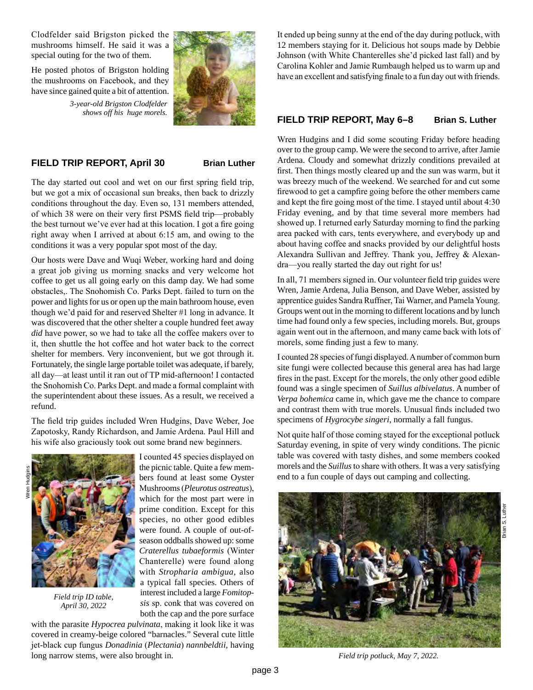Clodfelder said Brigston picked the mushrooms himself. He said it was a special outing for the two of them.

He posted photos of Brigston holding the mushrooms on Facebook, and they have since gained quite a bit of attention.

> *3-year-old Brigston Clodfelder shows off his huge morels.*

#### **FIELD TRIP REPORT, April 30 Brian Luther**

The day started out cool and wet on our first spring field trip, but we got a mix of occasional sun breaks, then back to drizzly conditions throughout the day. Even so, 131 members attended, of which 38 were on their very first PSMS field trip—probably the best turnout we've ever had at this location. I got a fire going right away when I arrived at about 6:15 am, and owing to the conditions it was a very popular spot most of the day.

Our hosts were Dave and Wuqi Weber, working hard and doing a great job giving us morning snacks and very welcome hot coffee to get us all going early on this damp day. We had some obstacles,. The Snohomish Co. Parks Dept. failed to turn on the power and lights for us or open up the main bathroom house, even though we'd paid for and reserved Shelter #1 long in advance. It was discovered that the other shelter a couple hundred feet away *did* have power, so we had to take all the coffee makers over to it, then shuttle the hot coffee and hot water back to the correct shelter for members. Very inconvenient, but we got through it. Fortunately, the single large portable toilet was adequate, if barely, all day—at least until it ran out of TP mid-afternoon! I contacted the Snohomish Co. Parks Dept. and made a formal complaint with the superintendent about these issues. As a result, we received a refund.

The field trip guides included Wren Hudgins, Dave Weber, Joe Zapotosky, Randy Richardson, and Jamie Ardena. Paul Hill and his wife also graciously took out some brand new beginners.





*Field trip ID table, April 30, 2022*

I counted 45 species displayed on the picnic table. Quite a few members found at least some Oyster Mushrooms (*Pleurotus ostreatus*), which for the most part were in prime condition. Except for this species, no other good edibles were found. A couple of out-ofseason oddballs showed up: some *Craterellus tubaeformis* (Winter Chanterelle) were found along with *Stropharia ambigua*, also a typical fall species. Others of interest included a large *Fomitopsis* sp. conk that was covered on both the cap and the pore surface

with the parasite *Hypocrea pulvinata*, making it look like it was covered in creamy-beige colored "barnacles." Several cute little jet-black cup fungus *Donadinia* (*Plectania*) *nannbeldtii*, having long narrow stems, were also brought in.

It ended up being sunny at the end of the day during potluck, with 12 members staying for it. Delicious hot soups made by Debbie Johnson (with White Chanterelles she'd picked last fall) and by Carolina Kohler and Jamie Rumbaugh helped us to warm up and have an excellent and satisfying finale to a fun day out with friends.

#### **FIELD TRIP REPORT, May 6–8 Brian S. Luther**

Wren Hudgins and I did some scouting Friday before heading over to the group camp. We were the second to arrive, after Jamie Ardena. Cloudy and somewhat drizzly conditions prevailed at first. Then things mostly cleared up and the sun was warm, but it was breezy much of the weekend. We searched for and cut some firewood to get a campfire going before the other members came and kept the fire going most of the time. I stayed until about 4:30 Friday evening, and by that time several more members had showed up. I returned early Saturday morning to find the parking area packed with cars, tents everywhere, and everybody up and about having coffee and snacks provided by our delightful hosts Alexandra Sullivan and Jeffrey. Thank you, Jeffrey & Alexandra—you really started the day out right for us!

In all, 71 members signed in. Our volunteer field trip guides were Wren, Jamie Ardena, Julia Benson, and Dave Weber, assisted by apprentice guides Sandra Ruffner, Tai Warner, and Pamela Young. Groups went out in the morning to different locations and by lunch time had found only a few species, including morels. But, groups again went out in the afternoon, and many came back with lots of morels, some finding just a few to many.

I counted 28 species of fungi displayed. A number of common burn site fungi were collected because this general area has had large fires in the past. Except for the morels, the only other good edible found was a single specimen of *Suillus albivelatus*. A number of *Verpa bohemica* came in, which gave me the chance to compare and contrast them with true morels. Unusual finds included two specimens of *Hygrocybe singeri*, normally a fall fungus.

Not quite half of those coming stayed for the exceptional potluck Saturday evening, in spite of very windy conditions. The picnic table was covered with tasty dishes, and some members cooked morels and the *Suillus* to share with others. It was a very satisfying end to a fun couple of days out camping and collecting.



*Field trip potluck, May 7, 2022.*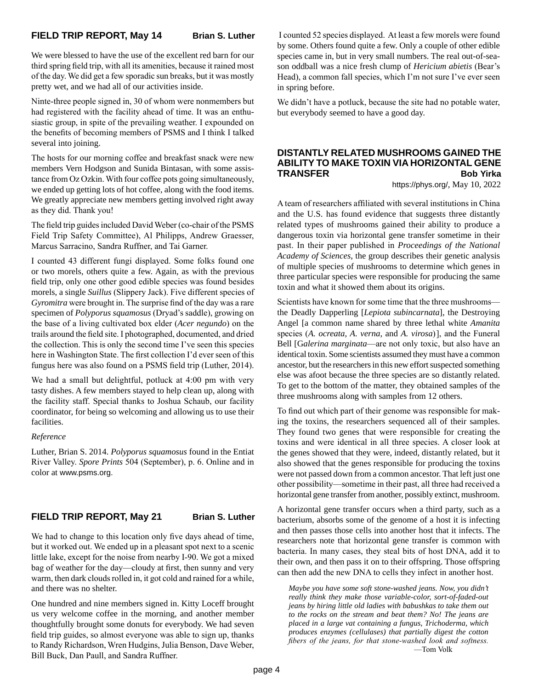We were blessed to have the use of the excellent red barn for our third spring field trip, with all its amenities, because it rained most of the day. We did get a few sporadic sun breaks, but it was mostly pretty wet, and we had all of our activities inside.

Ninte-three people signed in, 30 of whom were nonmembers but had registered with the facility ahead of time. It was an enthusiastic group, in spite of the prevailing weather. I expounded on the benefits of becoming members of PSMS and I think I talked several into joining.

The hosts for our morning coffee and breakfast snack were new members Vern Hodgson and Sunida Bintasan, with some assistance from Oz Ozkin. With four coffee pots going simultaneously, we ended up getting lots of hot coffee, along with the food items. We greatly appreciate new members getting involved right away as they did. Thank you!

The field trip guides included David Weber (co-chair of the PSMS Field Trip Safety Committee), Al Philipps, Andrew Graesser, Marcus Sarracino, Sandra Ruffner, and Tai Garner.

I counted 43 different fungi displayed. Some folks found one or two morels, others quite a few. Again, as with the previous field trip, only one other good edible species was found besides morels, a single *Suillus* (Slippery Jack). Five different species of *Gyromitra* were brought in. The surprise find of the day was a rare specimen of *Polyporus squamosus* (Dryad's saddle), growing on the base of a living cultivated box elder (*Acer negundo*) on the trails around the field site. I photographed, documented, and dried the collection. This is only the second time I've seen this species here in Washington State. The first collection I'd ever seen of this fungus here was also found on a PSMS field trip (Luther, 2014).

We had a small but delightful, potluck at 4:00 pm with very tasty dishes. A few members stayed to help clean up, along with the facility staff. Special thanks to Joshua Schaub, our facility coordinator, for being so welcoming and allowing us to use their facilities.

#### *Reference*

Luther, Brian S. 2014. *Polyporus squamosus* found in the Entiat River Valley. *Spore Prints* 504 (September), p. 6. Online and in color at www.psms.org.

#### **FIELD TRIP REPORT, May 21 Brian S. Luther**

We had to change to this location only five days ahead of time, but it worked out. We ended up in a pleasant spot next to a scenic little lake, except for the noise from nearby I-90. We got a mixed bag of weather for the day—cloudy at first, then sunny and very warm, then dark clouds rolled in, it got cold and rained for a while, and there was no shelter.

One hundred and nine members signed in. Kitty Loceff brought us very welcome coffee in the morning, and another member thoughtfully brought some donuts for everybody. We had seven field trip guides, so almost everyone was able to sign up, thanks to Randy Richardson, Wren Hudgins, Julia Benson, Dave Weber, Bill Buck, Dan Paull, and Sandra Ruffner.

 I counted 52 species displayed. At least a few morels were found by some. Others found quite a few. Only a couple of other edible species came in, but in very small numbers. The real out-of-season oddball was a nice fresh clump of *Hericium abietis* (Bear's Head), a common fall species, which I'm not sure I've ever seen in spring before.

We didn't have a potluck, because the site had no potable water, but everybody seemed to have a good day.

#### **DISTANTLY RELATED MUSHROOMS GAINED THE ABILITY TO MAKE TOXIN VIA HORIZONTAL GENE TRANSFER Bob Yirka**

https://phys.org/, May 10, 2022

A team of researchers affiliated with several institutions in China and the U.S. has found evidence that suggests three distantly related types of mushrooms gained their ability to produce a dangerous toxin via horizontal gene transfer sometime in their past. In their paper published in *Proceedings of the National Academy of Sciences*, the group describes their genetic analysis of multiple species of mushrooms to determine which genes in three particular species were responsible for producing the same toxin and what it showed them about its origins.

Scientists have known for some time that the three mushrooms the Deadly Dapperling [*Lepiota subincarnata*], the Destroying Angel [a common name shared by three lethal white *Amanita* species (*A. ocreata*, *A. verna,* and *A. virosa*) ], and the Funeral Bell [G*alerina marginata*—are not only toxic, but also have an identical toxin. Some scientists assumed they must have a common ancestor, but the researchers in this new effort suspected something else was afoot because the three species are so distantly related. To get to the bottom of the matter, they obtained samples of the three mushrooms along with samples from 12 others.

To find out which part of their genome was responsible for making the toxins, the researchers sequenced all of their samples. They found two genes that were responsible for creating the toxins and were identical in all three species. A closer look at the genes showed that they were, indeed, distantly related, but it also showed that the genes responsible for producing the toxins were not passed down from a common ancestor. That left just one other possibility—sometime in their past, all three had received a horizontal gene transfer from another, possibly extinct, mushroom.

A horizontal gene transfer occurs when a third party, such as a bacterium, absorbs some of the genome of a host it is infecting and then passes those cells into another host that it infects. The researchers note that horizontal gene transfer is common with bacteria. In many cases, they steal bits of host DNA, add it to their own, and then pass it on to their offspring. Those offspring can then add the new DNA to cells they infect in another host.

*Maybe you have some soft stone-washed jeans. Now, you didn't really think they make those variable-color, sort-of-faded-out jeans by hiring little old ladies with babushkas to take them out to the rocks on the stream and beat them? No! The jeans are placed in a large vat containing a fungus, Trichoderma, which produces enzymes (cellulases) that partially digest the cotton fibers of the jeans, for that stone-washed look and softness.* —Tom Volk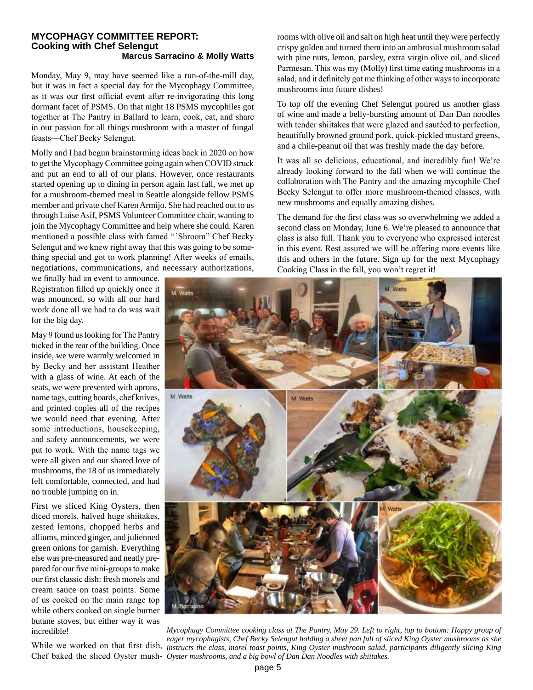#### **MYCOPHAGY COMMITTEE REPORT: Cooking with Chef Selengut Marcus Sarracino & Molly Watts**

Monday, May 9, may have seemed like a run-of-the-mill day, but it was in fact a special day for the Mycophagy Committee, as it was our first official event after re-invigorating this long dormant facet of PSMS. On that night 18 PSMS mycophiles got together at The Pantry in Ballard to learn, cook, eat, and share in our passion for all things mushroom with a master of fungal feasts—Chef Becky Selengut.

Molly and I had begun brainstorming ideas back in 2020 on how to get the Mycophagy Committee going again when COVID struck and put an end to all of our plans. However, once restaurants started opening up to dining in person again last fall, we met up for a mushroom-themed meal in Seattle alongside fellow PSMS member and private chef Karen Armijo. She had reached out to us through Luise Asif, PSMS Volunteer Committee chair, wanting to join the Mycophagy Committee and help where she could. Karen mentioned a possible class with famed " 'Shroom" Chef Becky Selengut and we knew right away that this was going to be something special and got to work planning! After weeks of emails, negotiations, communications, and necessary authorizations,

we finally had an event to announce. Registration filled up quickly once it was nnounced, so with all our hard work done all we had to do was wait for the big day.

May 9 found us looking for The Pantry tucked in the rear of the building. Once inside, we were warmly welcomed in by Becky and her assistant Heather with a glass of wine. At each of the seats, we were presented with aprons, name tags, cutting boards, chef knives, and printed copies all of the recipes we would need that evening. After some introductions, housekeeping, and safety announcements, we were put to work. With the name tags we were all given and our shared love of mushrooms, the 18 of us immediately felt comfortable, connected, and had no trouble jumping on in.

First we sliced King Oysters, then diced morels, halved huge shiitakes, zested lemons, chopped herbs and alliums, minced ginger, and julienned green onions for garnish. Everything else was pre-measured and neatly prepared for our five mini-groups to make our first classic dish: fresh morels and cream sauce on toast points. Some of us cooked on the main range top while others cooked on single burner butane stoves, but either way it was incredible!

rooms with olive oil and salt on high heat until they were perfectly crispy golden and turned them into an ambrosial mushroom salad with pine nuts, lemon, parsley, extra virgin olive oil, and sliced Parmesan. This was my (Molly) first time eating mushrooms in a salad, and it definitely got me thinking of other ways to incorporate mushrooms into future dishes!

To top off the evening Chef Selengut poured us another glass of wine and made a belly-bursting amount of Dan Dan noodles with tender shiitakes that were glazed and sautéed to perfection, beautifully browned ground pork, quick-pickled mustard greens, and a chile-peanut oil that was freshly made the day before.

It was all so delicious, educational, and incredibly fun! We're already looking forward to the fall when we will continue the collaboration with The Pantry and the amazing mycophile Chef Becky Selengut to offer more mushroom-themed classes, with new mushrooms and equally amazing dishes.

The demand for the first class was so overwhelming we added a second class on Monday, June 6. We're pleased to announce that class is also full. Thank you to everyone who expressed interest in this event. Rest assured we will be offering more events like this and others in the future. Sign up for the next Mycophagy Cooking Class in the fall, you won't regret it!



While we worked on that first dish, instructs the class, morel toast points, King Oyster mushroom salad, participants diligently slicing King Chef baked the sliced Oyster mush-*Oyster mushrooms, and a big bowl of Dan Dan Noodles with shiitakes.Mycophagy Committee cooking class at The Pantry, May 29. Left to right, top to bottom: Happy group of eager mycophagists, Chef Becky Selengut holding a sheet pan full of sliced King Oyster mushrooms as she*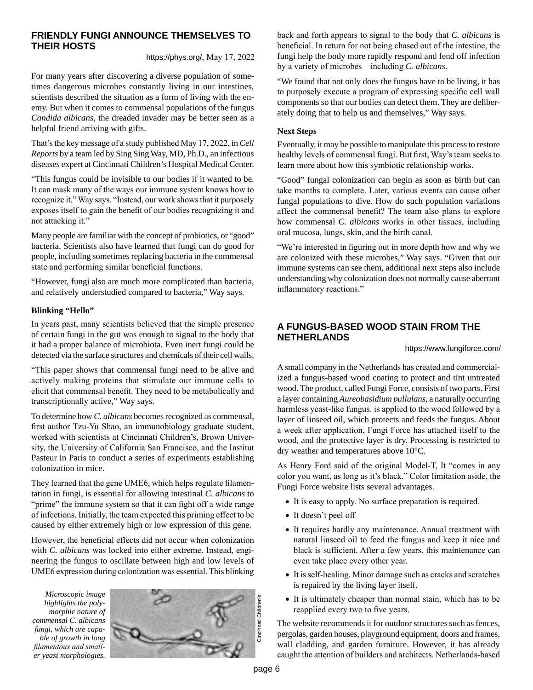#### **FRIENDLY FUNGI ANNOUNCE THEMSELVES TO THEIR HOSTS**

https://phys.org/, May 17, 2022

For many years after discovering a diverse population of sometimes dangerous microbes constantly living in our intestines, scientists described the situation as a form of living with the enemy. But when it comes to commensal populations of the fungus *Candida albicans*, the dreaded invader may be better seen as a helpful friend arriving with gifts.

That's the key message of a study published May 17, 2022, in *Cell Reports* by a team led by Sing Sing Way, MD, Ph.D., an infectious diseases expert at Cincinnati Children's Hospital Medical Center.

"This fungus could be invisible to our bodies if it wanted to be. It can mask many of the ways our immune system knows how to recognize it," Way says. "Instead, our work shows that it purposely exposes itself to gain the benefit of our bodies recognizing it and not attacking it."

Many people are familiar with the concept of probiotics, or "good" bacteria. Scientists also have learned that fungi can do good for people, including sometimes replacing bacteria in the commensal state and performing similar beneficial functions.

"However, fungi also are much more complicated than bacteria, and relatively understudied compared to bacteria," Way says.

#### **Blinking "Hello"**

In years past, many scientists believed that the simple presence of certain fungi in the gut was enough to signal to the body that it had a proper balance of microbiota. Even inert fungi could be detected via the surface structures and chemicals of their cell walls.

"This paper shows that commensal fungi need to be alive and actively making proteins that stimulate our immune cells to elicit that commensal benefit. They need to be metabolically and transcriptionally active," Way says.

To determine how *C. albicans* becomes recognized as commensal, first author Tzu-Yu Shao, an immunobiology graduate student, worked with scientists at Cincinnati Children's, Brown University, the University of California San Francisco, and the Institut Pasteur in Paris to conduct a series of experiments establishing colonization in mice.

They learned that the gene UME6, which helps regulate filamentation in fungi, is essential for allowing intestinal *C. albicans* to "prime" the immune system so that it can fight off a wide range of infections. Initially, the team expected this priming effect to be caused by either extremely high or low expression of this gene.

However, the beneficial effects did not occur when colonization with *C. albicans* was locked into either extreme. Instead, engineering the fungus to oscillate between high and low levels of UME6 expression during colonization was essential. This blinking

*Microscopic image highlights the polymorphic nature of commensal C. albicans fungi, which are capable of growth in long filamentous and smaller yeast morphologies.* 



back and forth appears to signal to the body that *C. albicans* is beneficial. In return for not being chased out of the intestine, the fungi help the body more rapidly respond and fend off infection by a variety of microbes—including *C. albicans*.

"We found that not only does the fungus have to be living, it has to purposely execute a program of expressing specific cell wall components so that our bodies can detect them. They are deliberately doing that to help us and themselves," Way says.

#### **Next Steps**

Eventually, it may be possible to manipulate this process to restore healthy levels of commensal fungi. But first, Way's team seeks to learn more about how this symbiotic relationship works.

"Good" fungal colonization can begin as soon as birth but can take months to complete. Later, various events can cause other fungal populations to dive. How do such population variations affect the commensal benefit? The team also plans to explore how commensal *C. albicans* works in other tissues, including oral mucosa, lungs, skin, and the birth canal.

"We're interested in figuring out in more depth how and why we are colonized with these microbes," Way says. "Given that our immune systems can see them, additional next steps also include understanding why colonization does not normally cause aberrant inflammatory reactions."

### **A FUNGUS-BASED WOOD STAIN FROM THE NETHERLANDS**

https://www.fungiforce.com/

A small company in the Netherlands has created and commercialized a fungus-based wood coating to protect and tint untreated wood. The product, called Fungi Force, consists of two parts. First a layer containing *Aureobasidium pullulans*, a naturally occurring harmless yeast-like fungus. is applied to the wood followed by a layer of linseed oil, which protects and feeds the fungus. About a week after application, Fungi Force has attached itself to the wood, and the protective layer is dry. Processing is restricted to dry weather and temperatures above 10°C.

As Henry Ford said of the original Model-T, It "comes in any color you want, as long as it's black." Color limitation aside, the Fungi Force website lists several advantages.

- It is easy to apply. No surface preparation is required.
- It doesn't peel off
- It requires hardly any maintenance. Annual treatment with natural linseed oil to feed the fungus and keep it nice and black is sufficient. After a few years, this maintenance can even take place every other year.
- It is self-healing. Minor damage such as cracks and scratches is repaired by the living layer itself.
- • It is ultimately cheaper than normal stain, which has to be reapplied every two to five years.

The website recommends it for outdoor structures such as fences, pergolas, garden houses, playground equipment, doors and frames, wall cladding, and garden furniture. However, it has already caught the attention of builders and architects. Netherlands-based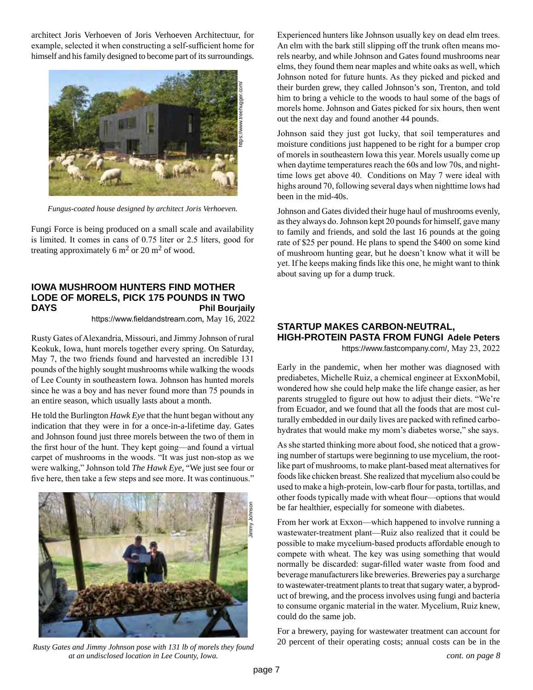architect Joris Verhoeven of Joris Verhoeven Architectuur, for example, selected it when constructing a self-sufficient home for himself and his family designed to become part of its surroundings.



*Fungus-coated house designed by architect Joris Verhoeven.*

Fungi Force is being produced on a small scale and availability is limited. It comes in cans of 0.75 liter or 2.5 liters, good for treating approximately 6  $\text{m}^2$  or 20  $\text{m}^2$  of wood.

#### **IOWA MUSHROOM HUNTERS FIND MOTHER LODE OF MORELS, PICK 175 POUNDS IN TWO DAYS Phil Bourjaily**

https://www.fieldandstream.com, May 16, 2022

Rusty Gates of Alexandria, Missouri, and Jimmy Johnson of rural Keokuk, Iowa, hunt morels together every spring. On Saturday, May 7, the two friends found and harvested an incredible 131 pounds of the highly sought mushrooms while walking the woods of Lee County in southeastern Iowa. Johnson has hunted morels since he was a boy and has never found more than 75 pounds in an entire season, which usually lasts about a month.

He told the Burlington *Hawk Eye* that the hunt began without any indication that they were in for a once-in-a-lifetime day. Gates and Johnson found just three morels between the two of them in the first hour of the hunt. They kept going—and found a virtual carpet of mushrooms in the woods. "It was just non-stop as we were walking," Johnson told *The Hawk Eye*, "We just see four or five here, then take a few steps and see more. It was continuous."



*Rusty Gates and Jimmy Johnson pose with 131 lb of morels they found at an undisclosed location in Lee County, Iowa.*

Experienced hunters like Johnson usually key on dead elm trees. An elm with the bark still slipping off the trunk often means morels nearby, and while Johnson and Gates found mushrooms near elms, they found them near maples and white oaks as well, which Johnson noted for future hunts. As they picked and picked and their burden grew, they called Johnson's son, Trenton, and told him to bring a vehicle to the woods to haul some of the bags of morels home. Johnson and Gates picked for six hours, then went out the next day and found another 44 pounds.

Johnson said they just got lucky, that soil temperatures and moisture conditions just happened to be right for a bumper crop of morels in southeastern Iowa this year. Morels usually come up when daytime temperatures reach the 60s and low 70s, and nighttime lows get above 40. Conditions on May 7 were ideal with highs around 70, following several days when nighttime lows had been in the mid-40s.

Johnson and Gates divided their huge haul of mushrooms evenly, as they always do. Johnson kept 20 pounds for himself, gave many to family and friends, and sold the last 16 pounds at the going rate of \$25 per pound. He plans to spend the \$400 on some kind of mushroom hunting gear, but he doesn't know what it will be yet. If he keeps making finds like this one, he might want to think about saving up for a dump truck.

## **STARTUP MAKES CARBON-NEUTRAL, HIGH-PROTEIN PASTA FROM FUNGI Adele Peters**

https://www.fastcompany.com/, May 23, 2022

Early in the pandemic, when her mother was diagnosed with prediabetes, Michelle Ruiz, a chemical engineer at ExxonMobil, wondered how she could help make the life change easier, as her parents struggled to figure out how to adjust their diets. "We're from Ecuador, and we found that all the foods that are most culturally embedded in our daily lives are packed with refined carbohydrates that would make my mom's diabetes worse," she says.

As she started thinking more about food, she noticed that a growing number of startups were beginning to use mycelium, the rootlike part of mushrooms, to make plant-based meat alternatives for foods like chicken breast. She realized that mycelium also could be used to make a high-protein, low-carb flour for pasta, tortillas, and other foods typically made with wheat flour—options that would be far healthier, especially for someone with diabetes.

From her work at Exxon—which happened to involve running a wastewater-treatment plant—Ruiz also realized that it could be possible to make mycelium-based products affordable enough to compete with wheat. The key was using something that would normally be discarded: sugar-filled water waste from food and beverage manufacturers like breweries. Breweries pay a surcharge to wastewater-treatment plants to treat that sugary water, a byproduct of brewing, and the process involves using fungi and bacteria to consume organic material in the water. Mycelium, Ruiz knew, could do the same job.

For a brewery, paying for wastewater treatment can account for 20 percent of their operating costs; annual costs can be in the